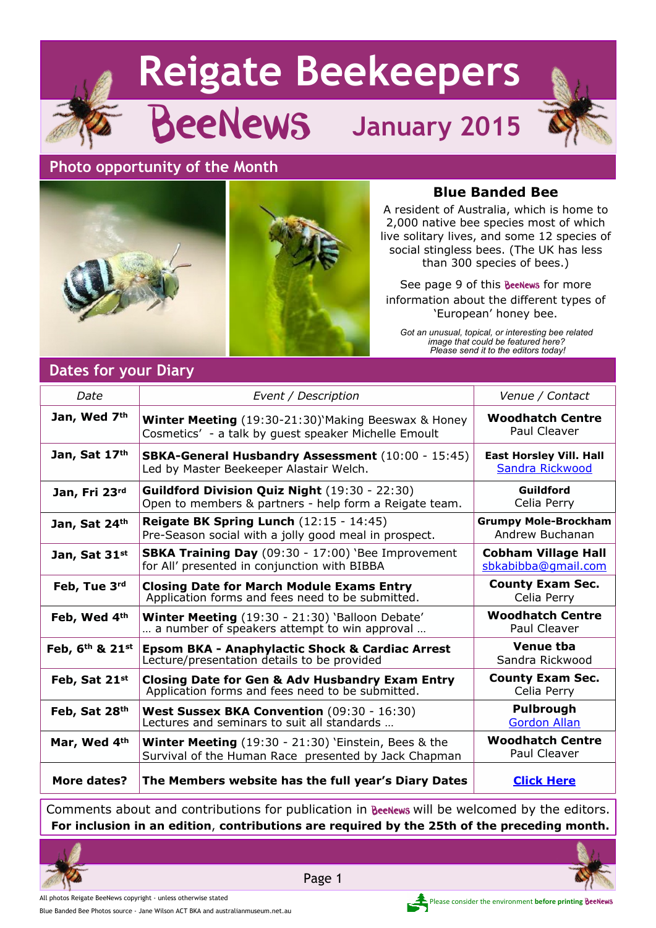# **Reigate Beekeepers**



BeeNews **January 2015**

#### **Photo opportunity of the Month**





#### **Blue Banded Bee**

A resident of Australia, which is home to 2,000 native bee species most of which live solitary lives, and some 12 species of social stingless bees. (The UK has less than 300 species of bees.)

See page 9 of this **BeeNews** for more information about the different types of 'European' honey bee.

*Got an unusual, topical, or interesting bee related image that could be featured here? Please send it to the editors today!*

## **Dates for your Diary**

| Date            | Event / Description                                                                                                   | Venue / Contact                                   |
|-----------------|-----------------------------------------------------------------------------------------------------------------------|---------------------------------------------------|
| Jan, Wed 7th    | Winter Meeting (19:30-21:30)'Making Beeswax & Honey<br>Cosmetics' - a talk by guest speaker Michelle Emoult           | <b>Woodhatch Centre</b><br>Paul Cleaver           |
| Jan, Sat 17th   | <b>SBKA-General Husbandry Assessment</b> (10:00 - 15:45)<br>Led by Master Beekeeper Alastair Welch.                   | <b>East Horsley Vill. Hall</b><br>Sandra Rickwood |
| Jan, Fri 23rd   | <b>Guildford Division Quiz Night</b> (19:30 - 22:30)<br>Open to members & partners - help form a Reigate team.        | Guildford<br>Celia Perry                          |
| Jan, Sat 24th   | Reigate BK Spring Lunch $(12:15 - 14:45)$<br>Pre-Season social with a jolly good meal in prospect.                    | <b>Grumpy Mole-Brockham</b><br>Andrew Buchanan    |
| Jan, Sat 31st   | SBKA Training Day (09:30 - 17:00) 'Bee Improvement<br>for All' presented in conjunction with BIBBA                    | <b>Cobham Village Hall</b><br>sbkabibba@gmail.com |
| Feb, Tue 3rd    | <b>Closing Date for March Module Exams Entry</b><br>Application forms and fees need to be submitted.                  | <b>County Exam Sec.</b><br>Celia Perry            |
| Feb, Wed 4th    | Winter Meeting (19:30 - 21:30) 'Balloon Debate'<br>a number of speakers attempt to win approval                       | <b>Woodhatch Centre</b><br>Paul Cleaver           |
| Feb, 6th & 21st | <b>Epsom BKA - Anaphylactic Shock &amp; Cardiac Arrest</b><br>Lecture/presentation details to be provided             | <b>Venue tba</b><br>Sandra Rickwood               |
| Feb, Sat 21st   | <b>Closing Date for Gen &amp; Adv Husbandry Exam Entry</b><br>Application forms and fees need to be submitted.        | <b>County Exam Sec.</b><br>Celia Perry            |
| Feb, Sat 28th   | West Sussex BKA Convention (09:30 - 16:30)<br>Lectures and seminars to suit all standards                             | Pulbrough<br><b>Gordon Allan</b>                  |
| Mar, Wed 4th    | <b>Winter Meeting</b> $(19:30 - 21:30)$ 'Einstein, Bees & the<br>Survival of the Human Race presented by Jack Chapman | <b>Woodhatch Centre</b><br>Paul Cleaver           |
| More dates?     | The Members website has the full year's Diary Dates                                                                   | <b>Click Here</b>                                 |

Comments about and contributions for publication in Beenews will be welcomed by the editors. **For inclusion in an edition**, **contributions are required by the 25th of the preceding month.**



All photos Reigate BeeNews copyright - unless otherwise stated **Please consider the environment before printing BeeNews** 



Blue Banded Bee Photos source - Jane Wilson ACT BKA and australianmuseum.net.au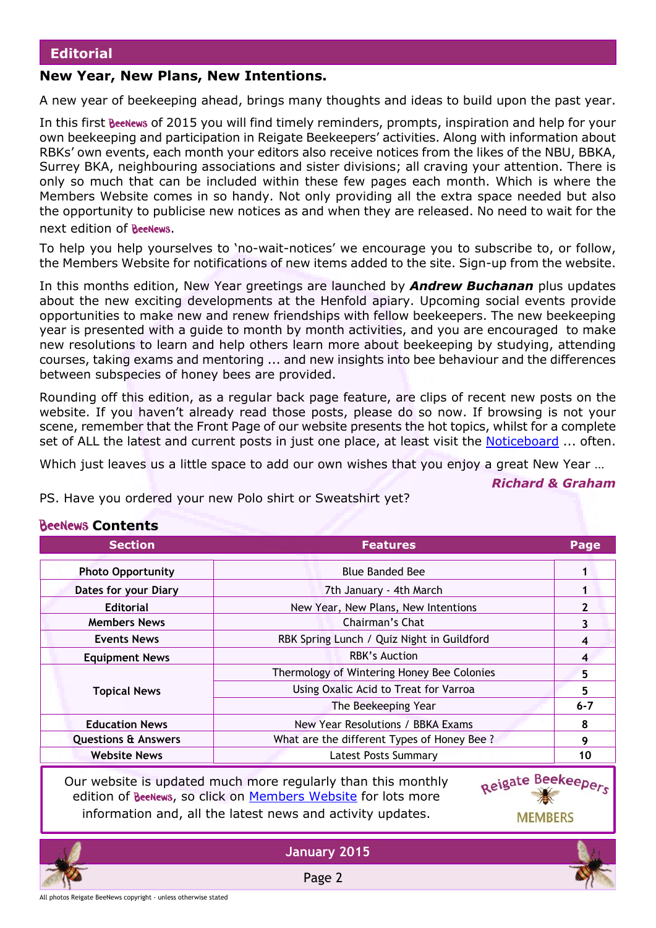#### **New Year, New Plans, New Intentions.**

A new year of beekeeping ahead, brings many thoughts and ideas to build upon the past year.

In this first **BeeNews** of 2015 you will find timely reminders, prompts, inspiration and help for your own beekeeping and participation in Reigate Beekeepers' activities. Along with information about RBKs' own events, each month your editors also receive notices from the likes of the NBU, BBKA, Surrey BKA, neighbouring associations and sister divisions; all craving your attention. There is only so much that can be included within these few pages each month. Which is where the Members Website comes in so handy. Not only providing all the extra space needed but also the opportunity to publicise new notices as and when they are released. No need to wait for the next edition of **BeeNews**.

To help you help yourselves to 'no-wait-notices' we encourage you to subscribe to, or follow, the Members Website for notifications of new items added to the site. Sign-up from the website.

In this months edition, New Year greetings are launched by *Andrew Buchanan* plus updates about the new exciting developments at the Henfold apiary. Upcoming social events provide opportunities to make new and renew friendships with fellow beekeepers. The new beekeeping year is presented with a guide to month by month activities, and you are encouraged to make new resolutions to learn and help others learn more about beekeeping by studying, attending courses, taking exams and mentoring ... and new insights into bee behaviour and the differences between subspecies of honey bees are provided.

Rounding off this edition, as a regular back page feature, are clips of recent new posts on the website. If you haven't already read those posts, please do so now. If browsing is not your scene, remember that the Front Page of our website presents the hot topics, whilst for a complete set of ALL the latest and current posts in just one place, at least visit the [Noticeboard](http://rbkbblog.com/category/notice-board/) ... often.

Which just leaves us a little space to add our own wishes that you enjoy a great New Year …

#### **Section Features Page Photo Opportunity** Blue Banded Bee **1 Dates for your Diary** 1 **Editorial New Year, New Plans, New Intentions 1** 2 **Members News 2 3 Events News RBK Spring Lunch / Quiz Night in Guildford 4 Equipment News All 2018 RBK's Auction 1988** Thermology of Wintering Honey Bee Colonies **5** Using Oxalic Acid to Treat for Varroa **5 Topical News** The Beekeeping Year **6-7 Education News** New Year Resolutions / BBKA Exams **8 Questions & Answers Answers** What are the different Types of Honey Bee ? **Website News** Latest Posts Summary **10** Reigate Beekeepers Our website is updated much more regularly than this monthly edition of BeeNews, so click on [Members Website](http://rbkbblog.com) for lots more information and, all the latest news and activity updates. **MEMBERS**

*Richard & Graham*

PS. Have you ordered your new Polo shirt or Sweatshirt yet?

#### **BeeNews Contents**

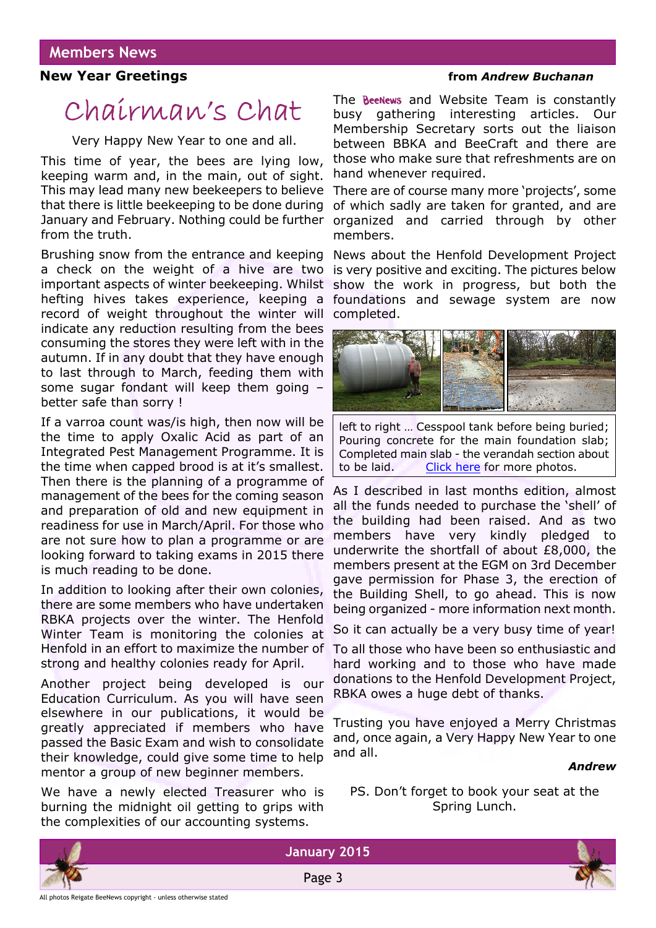#### **New Year Greetings** *new Year Greetings new Andrew Buchanan*

# Chairman's Chat

Very Happy New Year to one and all.

This time of year, the bees are lying low, keeping warm and, in the main, out of sight. This may lead many new beekeepers to believe that there is little beekeeping to be done during January and February. Nothing could be further from the truth.

Brushing snow from the entrance and keeping a check on the weight of a hive are two important aspects of winter beekeeping. Whilst hefting hives takes experience, keeping a record of weight throughout the winter will indicate any reduction resulting from the bees consuming the stores they were left with in the autumn. If in any doubt that they have enough to last through to March, feeding them with some sugar fondant will keep them going – better safe than sorry !

If a varroa count was/is high, then now will be the time to apply Oxalic Acid as part of an Integrated Pest Management Programme. It is the time when capped brood is at it's smallest. Then there is the planning of a programme of management of the bees for the coming season and preparation of old and new equipment in readiness for use in March/April. For those who are not sure how to plan a programme or are looking forward to taking exams in 2015 there is much reading to be done.

In addition to looking after their own colonies, there are some members who have undertaken RBKA projects over the winter. The Henfold Winter Team is monitoring the colonies at Henfold in an effort to maximize the number of strong and healthy colonies ready for April.

Another project being developed is our Education Curriculum. As you will have seen elsewhere in our publications, it would be greatly appreciated if members who have passed the Basic Exam and wish to consolidate their knowledge, could give some time to help mentor a group of new beginner members.

We have a newly elected Treasurer who is burning the midnight oil getting to grips with the complexities of our accounting systems.

The **BeeNews** and Website Team is constantly busy gathering interesting articles. Our Membership Secretary sorts out the liaison between BBKA and BeeCraft and there are those who make sure that refreshments are on hand whenever required.

There are of course many more 'projects', some of which sadly are taken for granted, and are organized and carried through by other members.

News about the Henfold Development Project is very positive and exciting. The pictures below show the work in progress, but both the foundations and sewage system are now completed.



left to right … Cesspool tank before being buried; Pouring concrete for the main foundation slab; Completed main slab - the verandah section about to be laid. [Click here](http://wp.me/p2VGpI-3U7) for more photos.

As I described in last months edition, almost all the funds needed to purchase the 'shell' of the building had been raised. And as two members have very kindly pledged to underwrite the shortfall of about £8,000, the members present at the EGM on 3rd December gave permission for Phase 3, the erection of the Building Shell, to go ahead. This is now being organized - more information next month.

So it can actually be a very busy time of year!

To all those who have been so enthusiastic and hard working and to those who have made donations to the Henfold Development Project, RBKA owes a huge debt of thanks.

Trusting you have enjoyed a Merry Christmas and, once again, a Very Happy New Year to one and all.

#### *Andrew*

PS. Don't forget to book your seat at the Spring Lunch.





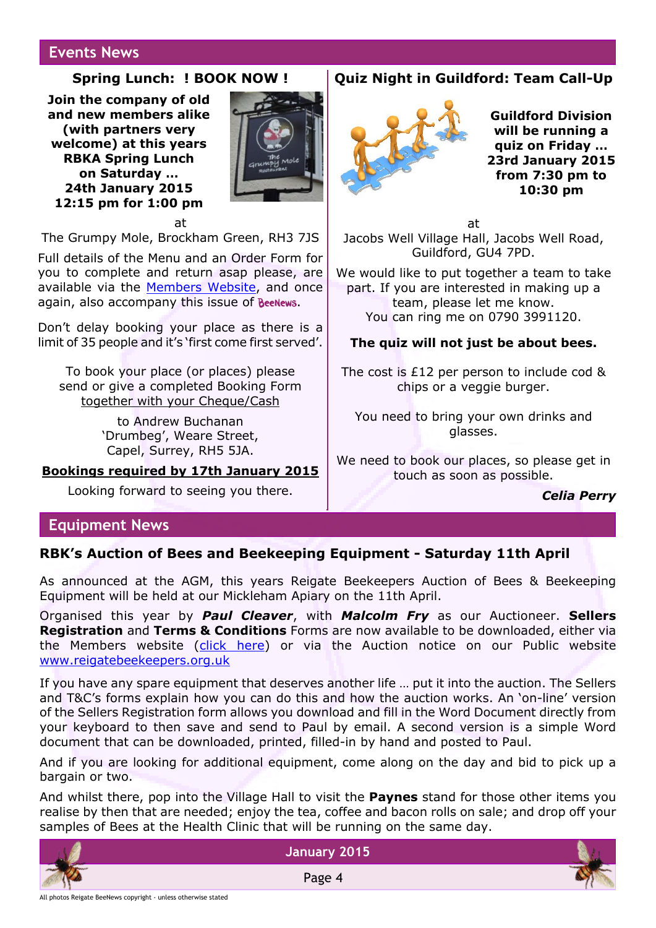#### **Events News**

#### **Spring Lunch: ! BOOK NOW !**

**Join the company of old and new members alike (with partners very welcome) at this years RBKA Spring Lunch on Saturday … 24th January 2015 12:15 pm for 1:00 pm**



at The Grumpy Mole, Brockham Green, RH3 7JS

Full details of the Menu and an Order Form for you to complete and return asap please, are available via the [Members Website](http://rbkbblog.com/2014/12/01/spring-lunch-2015-menu-and-booking/), and once again, also accompany this issue of Beenews.

Don't delay booking your place as there is a limit of 35 people and it's 'first come first served'.

To book your place (or places) please send or give a completed Booking Form together with your Cheque/Cash

> to Andrew Buchanan 'Drumbeg', Weare Street, Capel, Surrey, RH5 5JA.

#### **Bookings required by 17th January 2015**

Looking forward to seeing you there.

#### **Quiz Night in Guildford: Team Call-Up**



**Guildford Division will be running a quiz on Friday … 23rd January 2015 from 7:30 pm to 10:30 pm**

at Jacobs Well Village Hall, Jacobs Well Road, Guildford, GU4 7PD.

We would like to put together a team to take part. If you are interested in making up a team, please let me know. You can ring me on 0790 3991120.

#### **The quiz will not just be about bees.**

The cost is £12 per person to include cod & chips or a veggie burger.

You need to bring your own drinks and glasses.

We need to book our places, so please get in touch as soon as possible.

#### *Celia Perry*

#### **Equipment News**

#### **RBK's Auction of Bees and Beekeeping Equipment - Saturday 11th April**

As announced at the AGM, this years Reigate Beekeepers Auction of Bees & Beekeeping Equipment will be held at our Mickleham Apiary on the 11th April.

Organised this year by *Paul Cleaver*, with *Malcolm Fry* as our Auctioneer. **Sellers Registration** and **Terms & Conditions** Forms are now available to be downloaded, either via the Members website [\(click here](http://wp.me/p2VGpI-3TA)) or via the Auction notice on our Public website [www.reigatebeekeepers.org.uk](http://www.reigatebeekeepers.org.uk)

If you have any spare equipment that deserves another life … put it into the auction. The Sellers and T&C's forms explain how you can do this and how the auction works. An 'on-line' version of the Sellers Registration form allows you download and fill in the Word Document directly from your keyboard to then save and send to Paul by email. A second version is a simple Word document that can be downloaded, printed, filled-in by hand and posted to Paul.

And if you are looking for additional equipment, come along on the day and bid to pick up a bargain or two.

And whilst there, pop into the Village Hall to visit the **Paynes** stand for those other items you realise by then that are needed; enjoy the tea, coffee and bacon rolls on sale; and drop off your samples of Bees at the Health Clinic that will be running on the same day.



Page 4



All photos Reigate BeeNews copyright - unless otherwise stated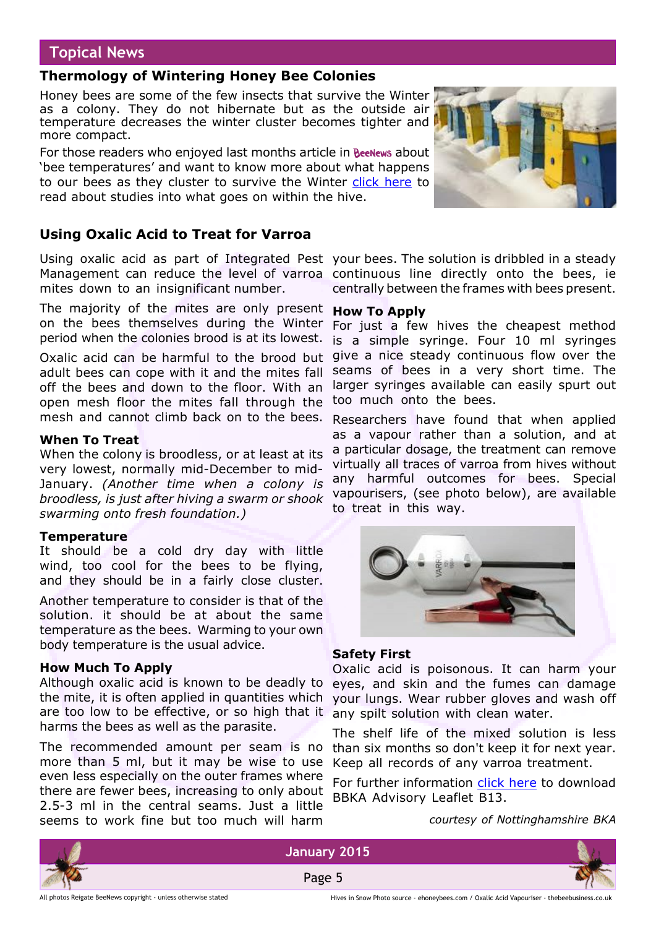### **Topical News**

#### **Thermology of Wintering Honey Bee Colonies**

Honey bees are some of the few insects that survive the Winter as a colony. They do not hibernate but as the outside air temperature decreases the winter cluster becomes tighter and more compact.

For those readers who enjoyed last months article in BeeNews about 'bee temperatures' and want to know more about what happens to our bees as they cluster to survive the Winter [click here](http://www.beesource.com/resources/usda/the-thermology-of-wintering-honey-bee-colonies/) to read about studies into what goes on within the hive.

### **Using Oxalic Acid to Treat for Varroa**

Using oxalic acid as part of Integrated Pest your bees. The solution is dribbled in a steady Management can reduce the level of varroa continuous line directly onto the bees, ie mites down to an insignificant number.

The majority of the mites are only present **How To Apply** on the bees themselves during the Winter period when the colonies brood is at its lowest.

Oxalic acid can be harmful to the brood but adult bees can cope with it and the mites fall off the bees and down to the floor. With an open mesh floor the mites fall through the mesh and cannot climb back on to the bees.

#### **When To Treat**

When the colony is broodless, or at least at its very lowest, normally mid-December to mid-January. *(Another time when a colony is broodless, is just after hiving a swarm or shook swarming onto fresh foundation.)*

#### **Temperature**

It should be a cold dry day with little wind, too cool for the bees to be flying, and they should be in a fairly close cluster.

Another temperature to consider is that of the solution. it should be at about the same temperature as the bees. Warming to your own body temperature is the usual advice.

#### **How Much To Apply**

Although oxalic acid is known to be deadly to the mite, it is often applied in quantities which are too low to be effective, or so high that it harms the bees as well as the parasite.

The recommended amount per seam is no more than 5 ml, but it may be wise to use even less especially on the outer frames where there are fewer bees, increasing to only about 2.5-3 ml in the central seams. Just a little seems to work fine but too much will harm

centrally between the frames with bees present.

For just a few hives the cheapest method is a simple syringe. Four 10 ml syringes give a nice steady continuous flow over the seams of bees in a very short time. The larger syringes available can easily spurt out too much onto the bees.

Researchers have found that when applied as a vapour rather than a solution, and at a particular dosage, the treatment can remove virtually all traces of varroa from hives without any harmful outcomes for bees. Special vapourisers, (see photo below), are available to treat in this way.



#### **Safety First**

Oxalic acid is poisonous. It can harm your eyes, and skin and the fumes can damage your lungs. Wear rubber gloves and wash off any spilt solution with clean water.

The shelf life of the mixed solution is less than six months so don't keep it for next year. Keep all records of any varroa treatment.

For further information [click here](http://www.bbka.org.uk/files/library/oxalic_acid_cleaning_b13_1306864801.pdf) to download BBKA Advisory Leaflet B13.

*courtesy of Nottinghamshire BKA*





All photos Reigate BeeNews copyright - unless otherwise stated

Hives in Snow Photo source - ehoneybees.com / Oxalic Acid Vapouriser - thebeebusiness.co.uk

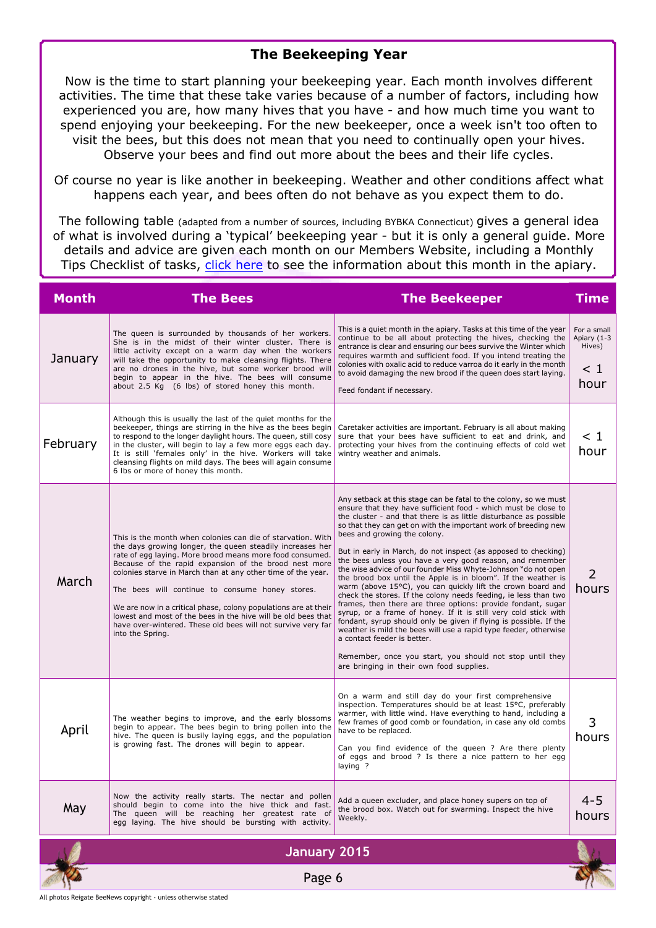#### **The Beekeeping Year**

Now is the time to start planning your beekeeping year. Each month involves different activities. The time that these take varies because of a number of factors, including how experienced you are, how many hives that you have - and how much time you want to spend enjoying your beekeeping. For the new beekeeper, once a week isn't too often to visit the bees, but this does not mean that you need to continually open your hives. Observe your bees and find out more about the bees and their life cycles.

Of course no year is like another in beekeeping. Weather and other conditions affect what happens each year, and bees often do not behave as you expect them to do.

The following table (adapted from a number of sources, including BYBKA Connecticut) gives a general idea of what is involved during a 'typical' beekeeping year - but it is only a general guide. More details and advice are given each month on our Members Website, including a Monthly Tips Checklist of tasks, [click here](http://rbkbblog.com/category/this-month-in-your-apiary/) to see the information about this month in the apiary.

| <b>Month</b> | <b>The Bees</b>                                                                                                                                                                                                                                                                                                                                                                                                                                                                                                                                                                          | <b>The Beekeeper</b>                                                                                                                                                                                                                                                                                                                                                                                                                                                                                                                                                                                                                                                                                                                                                                                                                                                                                                                                                                                                                                                                                                              | Time                                                     |
|--------------|------------------------------------------------------------------------------------------------------------------------------------------------------------------------------------------------------------------------------------------------------------------------------------------------------------------------------------------------------------------------------------------------------------------------------------------------------------------------------------------------------------------------------------------------------------------------------------------|-----------------------------------------------------------------------------------------------------------------------------------------------------------------------------------------------------------------------------------------------------------------------------------------------------------------------------------------------------------------------------------------------------------------------------------------------------------------------------------------------------------------------------------------------------------------------------------------------------------------------------------------------------------------------------------------------------------------------------------------------------------------------------------------------------------------------------------------------------------------------------------------------------------------------------------------------------------------------------------------------------------------------------------------------------------------------------------------------------------------------------------|----------------------------------------------------------|
| January      | The queen is surrounded by thousands of her workers.<br>She is in the midst of their winter cluster. There is<br>little activity except on a warm day when the workers<br>will take the opportunity to make cleansing flights. There<br>are no drones in the hive, but some worker brood will<br>begin to appear in the hive. The bees will consume<br>about 2.5 Kg (6 lbs) of stored honey this month.                                                                                                                                                                                  | This is a quiet month in the apiary. Tasks at this time of the year<br>continue to be all about protecting the hives, checking the<br>entrance is clear and ensuring our bees survive the Winter which<br>requires warmth and sufficient food. If you intend treating the<br>colonies with oxalic acid to reduce varroa do it early in the month<br>to avoid damaging the new brood if the queen does start laying.<br>Feed fondant if necessary.                                                                                                                                                                                                                                                                                                                                                                                                                                                                                                                                                                                                                                                                                 | For a small<br>Apiary (1-3<br>Hives)<br>$\leq 1$<br>hour |
| February     | Although this is usually the last of the quiet months for the<br>beekeeper, things are stirring in the hive as the bees begin<br>to respond to the longer daylight hours. The queen, still cosy<br>in the cluster, will begin to lay a few more eggs each day.<br>It is still 'females only' in the hive. Workers will take<br>cleansing flights on mild days. The bees will again consume<br>6 lbs or more of honey this month.                                                                                                                                                         | Caretaker activities are important. February is all about making<br>sure that your bees have sufficient to eat and drink, and<br>protecting your hives from the continuing effects of cold wet<br>wintry weather and animals.                                                                                                                                                                                                                                                                                                                                                                                                                                                                                                                                                                                                                                                                                                                                                                                                                                                                                                     | $\leq 1$<br>hour                                         |
| March        | This is the month when colonies can die of starvation. With<br>the days growing longer, the queen steadily increases her<br>rate of egg laying. More brood means more food consumed.<br>Because of the rapid expansion of the brood nest more<br>colonies starve in March than at any other time of the year.<br>The bees will continue to consume honey stores.<br>We are now in a critical phase, colony populations are at their<br>lowest and most of the bees in the hive will be old bees that<br>have over-wintered. These old bees will not survive very far<br>into the Spring. | Any setback at this stage can be fatal to the colony, so we must<br>ensure that they have sufficient food - which must be close to<br>the cluster - and that there is as little disturbance as possible<br>so that they can get on with the important work of breeding new<br>bees and growing the colony.<br>But in early in March, do not inspect (as apposed to checking)<br>the bees unless you have a very good reason, and remember<br>the wise advice of our founder Miss Whyte-Johnson "do not open<br>the brood box until the Apple is in bloom". If the weather is<br>warm (above 15°C), you can quickly lift the crown board and<br>check the stores. If the colony needs feeding, ie less than two<br>frames, then there are three options: provide fondant, sugar<br>syrup, or a frame of honey. If it is still very cold stick with<br>fondant, syrup should only be given if flying is possible. If the<br>weather is mild the bees will use a rapid type feeder, otherwise<br>a contact feeder is better.<br>Remember, once you start, you should not stop until they<br>are bringing in their own food supplies. | 2<br>hours                                               |
| April        | The weather begins to improve, and the early blossoms<br>begin to appear. The bees begin to bring pollen into the<br>hive. The queen is busily laying eggs, and the population<br>is growing fast. The drones will begin to appear.                                                                                                                                                                                                                                                                                                                                                      | On a warm and still day do your first comprehensive<br>inspection. Temperatures should be at least 15°C, preferably<br>warmer, with little wind. Have everything to hand, including a<br>few frames of good comb or foundation, in case any old combs<br>have to be replaced.<br>Can you find evidence of the queen ? Are there plenty<br>of eggs and brood ? Is there a nice pattern to her egg<br>laying ?                                                                                                                                                                                                                                                                                                                                                                                                                                                                                                                                                                                                                                                                                                                      | 3<br>hours                                               |
| May          | Now the activity really starts. The nectar and pollen<br>should begin to come into the hive thick and fast.<br>The queen will be reaching her greatest rate of<br>egg laying. The hive should be bursting with activity.                                                                                                                                                                                                                                                                                                                                                                 | Add a queen excluder, and place honey supers on top of<br>the brood box. Watch out for swarming. Inspect the hive<br>Weekly.                                                                                                                                                                                                                                                                                                                                                                                                                                                                                                                                                                                                                                                                                                                                                                                                                                                                                                                                                                                                      | $4 - 5$<br>hours                                         |
|              | <b>January 2015</b>                                                                                                                                                                                                                                                                                                                                                                                                                                                                                                                                                                      |                                                                                                                                                                                                                                                                                                                                                                                                                                                                                                                                                                                                                                                                                                                                                                                                                                                                                                                                                                                                                                                                                                                                   |                                                          |
|              | Page 6                                                                                                                                                                                                                                                                                                                                                                                                                                                                                                                                                                                   |                                                                                                                                                                                                                                                                                                                                                                                                                                                                                                                                                                                                                                                                                                                                                                                                                                                                                                                                                                                                                                                                                                                                   |                                                          |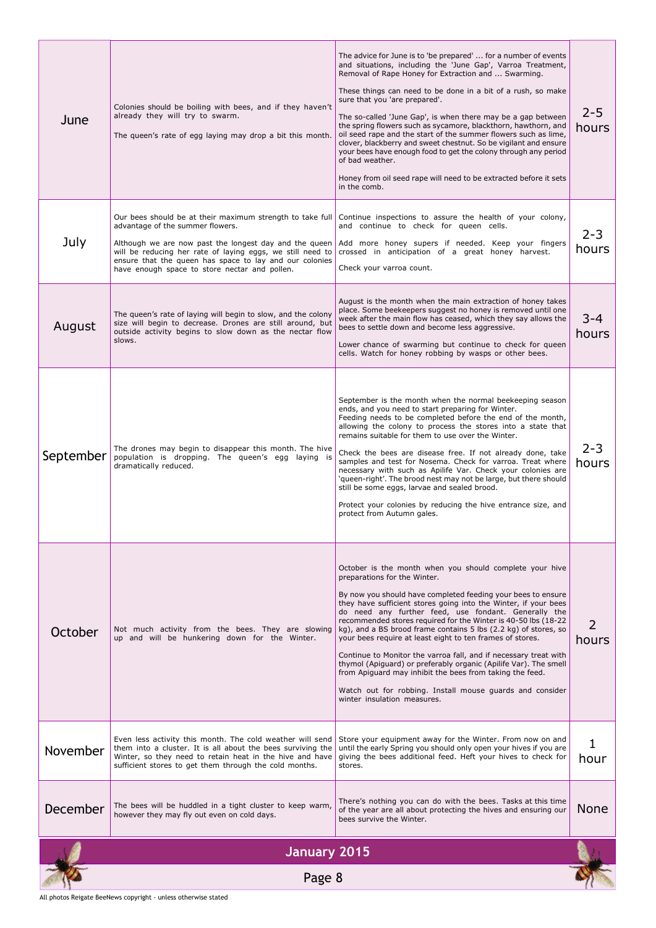| June         | Colonies should be boiling with bees, and if they haven't<br>already they will try to swarm.<br>The queen's rate of egg laying may drop a bit this month.                                                                                                                                                                         | The advice for June is to 'be prepared'  for a number of events<br>and situations, including the 'June Gap', Varroa Treatment,<br>Removal of Rape Honey for Extraction and  Swarming.<br>These things can need to be done in a bit of a rush, so make<br>sure that you 'are prepared'.<br>The so-called 'June Gap', is when there may be a gap between<br>the spring flowers such as sycamore, blackthorn, hawthorn, and<br>oil seed rape and the start of the summer flowers such as lime,<br>clover, blackberry and sweet chestnut. So be vigilant and ensure<br>your bees have enough food to get the colony through any period<br>of bad weather.<br>Honey from oil seed rape will need to be extracted before it sets<br>in the comb.                                          | $2 - 5$<br>hours |
|--------------|-----------------------------------------------------------------------------------------------------------------------------------------------------------------------------------------------------------------------------------------------------------------------------------------------------------------------------------|-------------------------------------------------------------------------------------------------------------------------------------------------------------------------------------------------------------------------------------------------------------------------------------------------------------------------------------------------------------------------------------------------------------------------------------------------------------------------------------------------------------------------------------------------------------------------------------------------------------------------------------------------------------------------------------------------------------------------------------------------------------------------------------|------------------|
| July         | Our bees should be at their maximum strength to take full<br>advantage of the summer flowers.<br>Although we are now past the longest day and the queen<br>will be reducing her rate of laying eggs, we still need to<br>ensure that the queen has space to lay and our colonies<br>have enough space to store nectar and pollen. | Continue inspections to assure the health of your colony,<br>and continue to check for queen cells.<br>Add more honey supers if needed. Keep your fingers<br>crossed in anticipation of a great honey harvest.<br>Check your varroa count.                                                                                                                                                                                                                                                                                                                                                                                                                                                                                                                                          | $2 - 3$<br>hours |
| August       | The queen's rate of laying will begin to slow, and the colony<br>size will begin to decrease. Drones are still around, but<br>outside activity begins to slow down as the nectar flow<br>slows.                                                                                                                                   | August is the month when the main extraction of honey takes<br>place. Some beekeepers suggest no honey is removed until one<br>week after the main flow has ceased, which they say allows the<br>bees to settle down and become less aggressive.<br>Lower chance of swarming but continue to check for queen<br>cells. Watch for honey robbing by wasps or other bees.                                                                                                                                                                                                                                                                                                                                                                                                              | $3 - 4$<br>hours |
| September    | The drones may begin to disappear this month. The hive<br>population is dropping. The queen's egg laying is<br>dramatically reduced.                                                                                                                                                                                              | September is the month when the normal beekeeping season<br>ends, and you need to start preparing for Winter.<br>Feeding needs to be completed before the end of the month,<br>allowing the colony to process the stores into a state that<br>remains suitable for them to use over the Winter.<br>Check the bees are disease free. If not already done, take<br>samples and test for Nosema. Check for varroa. Treat where<br>necessary with such as Apilife Var. Check your colonies are<br>'queen-right'. The brood nest may not be large, but there should<br>still be some eggs, larvae and sealed brood.<br>Protect your colonies by reducing the hive entrance size, and<br>protect from Autumn gales.                                                                       | $2 - 3$<br>hours |
| October      | Not much activity from the bees. They are slowing<br>up and will be hunkering down for the Winter.                                                                                                                                                                                                                                | October is the month when you should complete your hive<br>preparations for the Winter.<br>By now you should have completed feeding your bees to ensure<br>they have sufficient stores going into the Winter, if your bees<br>do need any further feed, use fondant. Generally the<br>recommended stores required for the Winter is 40-50 lbs (18-22<br>kg), and a BS brood frame contains 5 lbs (2.2 kg) of stores, so<br>your bees require at least eight to ten frames of stores.<br>Continue to Monitor the varroa fall, and if necessary treat with<br>thymol (Apiquard) or preferably organic (Apilife Var). The smell<br>from Apiquard may inhibit the bees from taking the feed.<br>Watch out for robbing. Install mouse guards and consider<br>winter insulation measures. | hours            |
| November     | Even less activity this month. The cold weather will send<br>them into a cluster. It is all about the bees surviving the<br>Winter, so they need to retain heat in the hive and have<br>sufficient stores to get them through the cold months.                                                                                    | Store your equipment away for the Winter. From now on and<br>until the early Spring you should only open your hives if you are<br>giving the bees additional feed. Heft your hives to check for<br>stores.                                                                                                                                                                                                                                                                                                                                                                                                                                                                                                                                                                          | hour             |
| December     | The bees will be huddled in a tight cluster to keep warm,<br>however they may fly out even on cold days.                                                                                                                                                                                                                          | There's nothing you can do with the bees. Tasks at this time<br>of the year are all about protecting the hives and ensuring our<br>bees survive the Winter.                                                                                                                                                                                                                                                                                                                                                                                                                                                                                                                                                                                                                         | None             |
| January 2015 |                                                                                                                                                                                                                                                                                                                                   |                                                                                                                                                                                                                                                                                                                                                                                                                                                                                                                                                                                                                                                                                                                                                                                     |                  |
| Page 8       |                                                                                                                                                                                                                                                                                                                                   |                                                                                                                                                                                                                                                                                                                                                                                                                                                                                                                                                                                                                                                                                                                                                                                     |                  |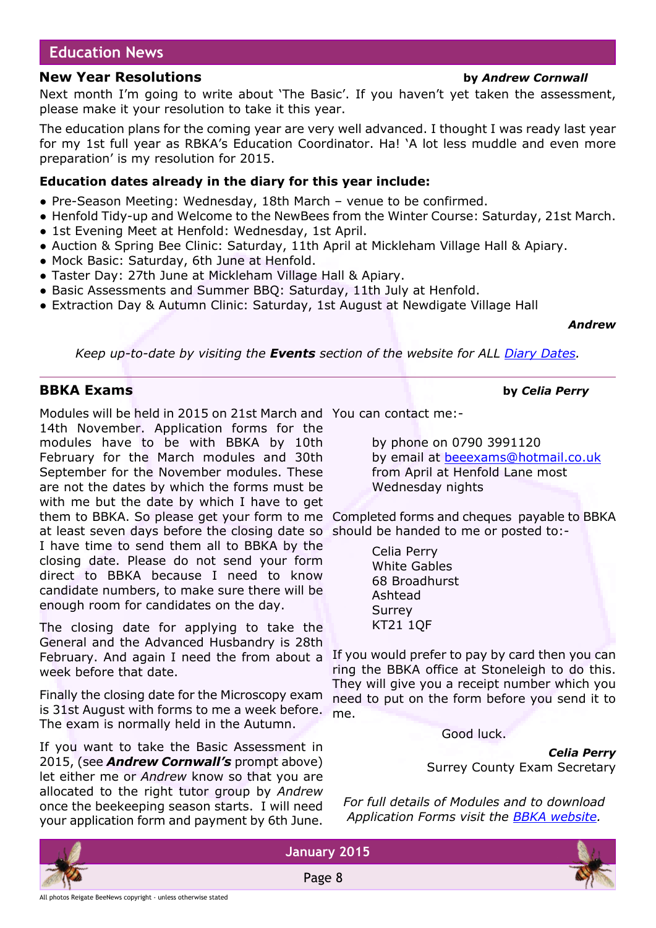#### **Education News**

#### **New Year Resolutions by** *Andrew Cornwall*

Next month I'm going to write about 'The Basic'. If you haven't yet taken the assessment, please make it your resolution to take it this year.

The education plans for the coming year are very well advanced. I thought I was ready last year for my 1st full year as RBKA's Education Coordinator. Ha! 'A lot less muddle and even more preparation' is my resolution for 2015.

#### **Education dates already in the diary for this year include:**

- Pre-Season Meeting: Wednesday, 18th March venue to be confirmed.
- Henfold Tidy-up and Welcome to the NewBees from the Winter Course: Saturday, 21st March.
- 1st Evening Meet at Henfold: Wednesday, 1st April.
- Auction & Spring Bee Clinic: Saturday, 11th April at Mickleham Village Hall & Apiary.
- Mock Basic: Saturday, 6th June at Henfold.
- Taster Day: 27th June at Mickleham Village Hall & Apiary.
- Basic Assessments and Summer BBQ: Saturday, 11th July at Henfold.
- Extraction Day & Autumn Clinic: Saturday, 1st August at Newdigate Village Hall

#### *Andrew*

*Keep up-to-date by visiting the Events section of the website for ALL [Diary Dates.](http://rbkbblog.com/diary-dates/)*

#### **BBKA Exams by** *Celia Perry*

Modules will be held in 2015 on 21st March and You can contact me:- 14th November. Application forms for the modules have to be with BBKA by 10th February for the March modules and 30th September for the November modules. These are not the dates by which the forms must be with me but the date by which I have to get them to BBKA. So please get your form to me Completed forms and cheques payable to BBKA

at least seven days before the closing date so I have time to send them all to BBKA by the closing date. Please do not send your form direct to BBKA because I need to know candidate numbers, to make sure there will be enough room for candidates on the day.

The closing date for applying to take the General and the Advanced Husbandry is 28th February. And again I need the from about a week before that date.

Finally the closing date for the Microscopy exam is 31st August with forms to me a week before. The exam is normally held in the Autumn.

If you want to take the Basic Assessment in 2015, (see *Andrew Cornwall's* prompt above) let either me or *Andrew* know so that you are allocated to the right tutor group by *Andrew* once the beekeeping season starts. I will need your application form and payment by 6th June.

by phone on 0790 3991120 by email at [beeexams@hotmail.co.uk](mailto:beeexams@hotmail.co.uk) from April at Henfold Lane most Wednesday nights

should be handed to me or posted to:-

White Gables Ashtead Surrey KT21 1QF

If you would prefer to pay by card then you can ring the BBKA office at Stoneleigh to do this. They will give you a receipt number which you need to put on the form before you send it to me.

Good luck.

*Celia Perry* Surrey County Exam Secretary

*For full details of Modules and to download Application Forms visit the [BBKA website.](http://www.bbka.org.uk/learn/examinations__assessments)*



Page 8



Celia Perry 68 Broadhurst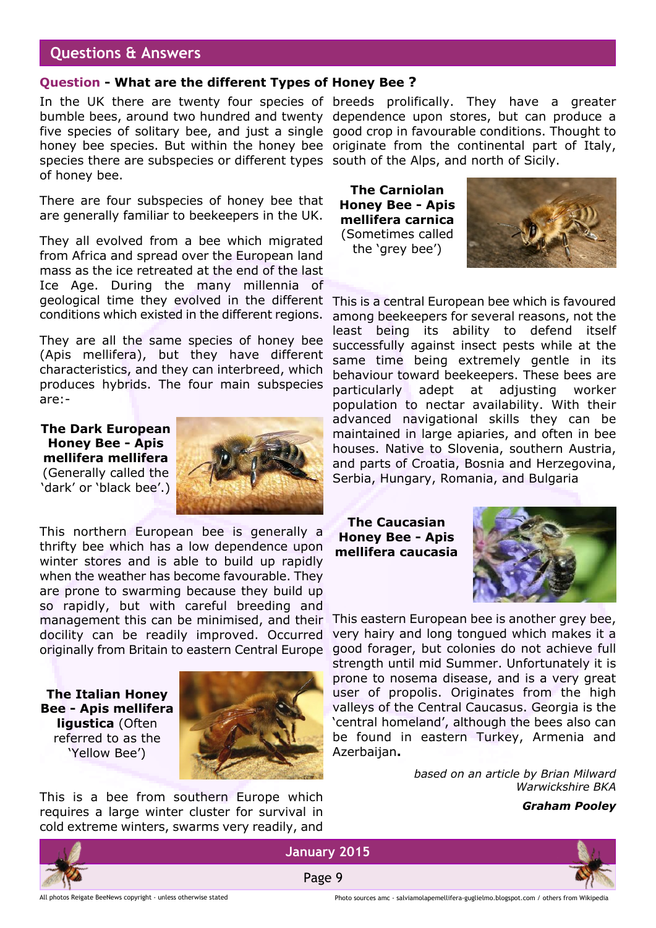#### **Questions & Answers**

#### **Question - What are the different Types of Honey Bee ?**

In the UK there are twenty four species of breeds prolifically. They have a greater bumble bees, around two hundred and twenty dependence upon stores, but can produce a five species of solitary bee, and just a single good crop in favourable conditions. Thought to honey bee species. But within the honey bee originate from the continental part of Italy, species there are subspecies or different types south of the Alps, and north of Sicily. of honey bee.

There are four subspecies of honey bee that are generally familiar to beekeepers in the UK.

They all evolved from a bee which migrated from Africa and spread over the European land mass as the ice retreated at the end of the last Ice Age. During the many millennia of geological time they evolved in the different conditions which existed in the different regions.

They are all the same species of honey bee (Apis mellifera), but they have different characteristics, and they can interbreed, which produces hybrids. The four main subspecies are:-

**The Dark European Honey Bee - Apis mellifera mellifera** (Generally called the 'dark' or 'black bee'.)



This northern European bee is generally a thrifty bee which has a low dependence upon winter stores and is able to build up rapidly when the weather has become favourable. They are prone to swarming because they build up so rapidly, but with careful breeding and management this can be minimised, and their docility can be readily improved. Occurred originally from Britain to eastern Central Europe

**The Italian Honey Bee - Apis mellifera ligustica** (Often referred to as the 'Yellow Bee')



This is a bee from southern Europe which requires a large winter cluster for survival in cold extreme winters, swarms very readily, and

**The Carniolan Honey Bee - Apis mellifera carnica** (Sometimes called the 'grey bee')



This is a central European bee which is favoured among beekeepers for several reasons, not the least being its ability to defend itself successfully against insect pests while at the same time being extremely gentle in its behaviour toward beekeepers. These bees are particularly adept at adjusting worker population to nectar availability. With their advanced navigational skills they can be maintained in large apiaries, and often in bee houses. Native to Slovenia, southern Austria, and parts of Croatia, Bosnia and Herzegovina, Serbia, Hungary, Romania, and Bulgaria

**The Caucasian Honey Bee - Apis mellifera caucasia**



This eastern European bee is another grey bee, very hairy and long tongued which makes it a good forager, but colonies do not achieve full strength until mid Summer. Unfortunately it is prone to nosema disease, and is a very great user of propolis. Originates from the high valleys of the Central Caucasus. Georgia is the 'central homeland', although the bees also can be found in eastern Turkey, Armenia and Azerbaijan**.**

> *based on an article by Brian Milward Warwickshire BKA*

#### *Graham Pooley*



**January 2015** Page 9

All photos Reigate BeeNews copyright - unless otherwise stated